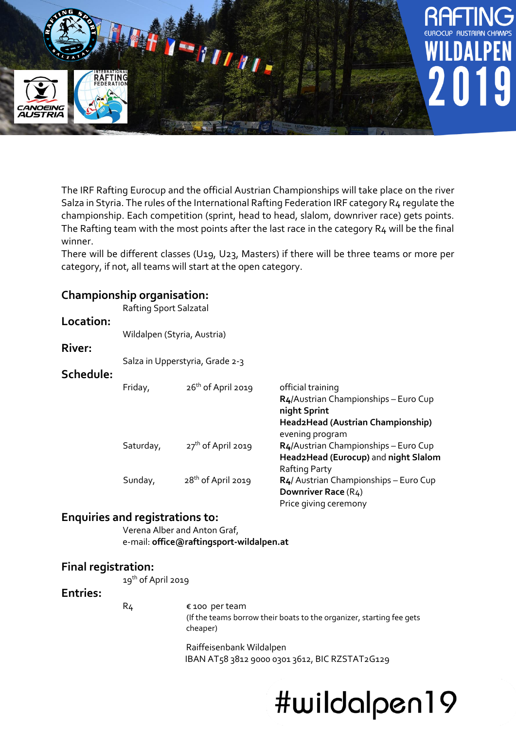

The IRF Rafting Eurocup and the official Austrian Championships will take place on the river Salza in Styria. The rules of the International Rafting Federation IRF category R4 regulate the championship. Each competition (sprint, head to head, slalom, downriver race) gets points. The Rafting team with the most points after the last race in the category R4 will be the final winner.

There will be different classes (U19, U23, Masters) if there will be three teams or more per category, if not, all teams will start at the open category.

## **Championship organisation:**

Rafting Sport Salzatal

### **Location:**

Wildalpen (Styria, Austria)

## **River:**

Salza in Upperstyria, Grade 2-3

#### **Schedule:**

| Friday,   | $26th$ of April 2019 | official training<br>R4/Austrian Championships - Euro Cup<br>night Sprint<br>Head2Head (Austrian Championship) |
|-----------|----------------------|----------------------------------------------------------------------------------------------------------------|
| Saturday, | $27th$ of April 2019 | evening program<br>R4/Austrian Championships - Euro Cup                                                        |
|           |                      | Head2Head (Eurocup) and night Slalom<br>Rafting Party                                                          |
| Sunday,   | $28th$ of April 2019 | R4/ Austrian Championships - Euro Cup<br>Downriver Race (R4)<br>Price giving ceremony                          |

## **Enquiries and registrations to:**

Verena Alber and Anton Graf, e-mail: **office@raftingsport-wildalpen.at**

## **Final registration:**

19<sup>th</sup> of April 2019

#### **Entries:**

R4 € 100 per team (If the teams borrow their boats to the organizer, starting fee gets cheaper)

> Raiffeisenbank Wildalpen IBAN AT58 3812 9000 0301 3612, BIC RZSTAT2G129

## #wildalpen19